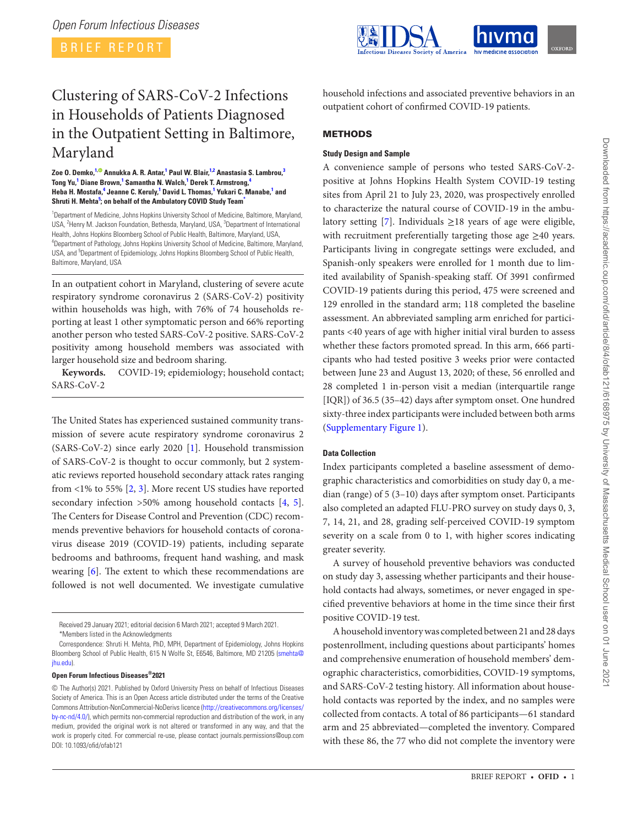BRIEF REPORT



# Clustering of SARS-CoV-2 Infections in Households of Patients Diagnosed in the Outpatient Setting in Baltimore, Maryland

#### **Zoe O. Demko, [1](#page-0-0)[, A](https://orcid.org/0000-0003-2122-820X)nnukka A. R. Antar, [1](#page-0-0) Paul W. Blair, [1,](#page-0-0)[2](#page-0-1) Anastasia S. Lambrou, [3](#page-0-2)**  $\mathsf{Top}\ \mathsf{Yu},^1$  $\mathsf{Top}\ \mathsf{Yu},^1$  Diane Brown, $^1$  Samantha N. Walch, $^1$  Derek T. Armstrong, $^4$  $^4$ Heba H. Mostafa,<sup>[4](#page-0-3)</sup> Jeanne C. Keruly,<sup>[1](#page-0-0)</sup> David L. Thomas,<sup>1</sup> Yukari C. Manabe,<sup>1</sup> and **Shruti H. Mehta[5](#page-0-4) ; on behalf of the Ambulatory COVID Study Team[\\*](#page-0-5)**

<span id="page-0-3"></span><span id="page-0-2"></span><span id="page-0-1"></span><span id="page-0-0"></span><sup>1</sup>Department of Medicine, Johns Hopkins University School of Medicine, Baltimore, Maryland, USA, <sup>2</sup>Henry M. Jackson Foundation, Bethesda, Maryland, USA, <sup>3</sup>Department of International Health, Johns Hopkins Bloomberg School of Public Health, Baltimore, Maryland, USA, 4 Department of Pathology, Johns Hopkins University School of Medicine, Baltimore, Maryland, USA, and <sup>5</sup>Department of Epidemiology, Johns Hopkins Bloomberg School of Public Health, Baltimore, Maryland, USA

<span id="page-0-4"></span>In an outpatient cohort in Maryland, clustering of severe acute respiratory syndrome coronavirus 2 (SARS-CoV-2) positivity within households was high, with 76% of 74 households reporting at least 1 other symptomatic person and 66% reporting another person who tested SARS-CoV-2 positive. SARS-CoV-2 positivity among household members was associated with larger household size and bedroom sharing.

**Keywords.** COVID-19; epidemiology; household contact; SARS-CoV-2

The United States has experienced sustained community transmission of severe acute respiratory syndrome coronavirus 2 (SARS-CoV-2) since early 2020 [\[1\]](#page-4-0). Household transmission of SARS-CoV-2 is thought to occur commonly, but 2 systematic reviews reported household secondary attack rates ranging from  $\langle 1\%$  to 55% [\[2,](#page-4-1) [3\]](#page-4-2). More recent US studies have reported secondary infection >50% among household contacts [\[4,](#page-4-3) [5\]](#page-4-4). The Centers for Disease Control and Prevention (CDC) recommends preventive behaviors for household contacts of coronavirus disease 2019 (COVID-19) patients, including separate bedrooms and bathrooms, frequent hand washing, and mask wearing [\[6\]](#page-4-5). The extent to which these recommendations are followed is not well documented. We investigate cumulative

## **Open Forum Infectious Diseases®2021**

household infections and associated preventive behaviors in an outpatient cohort of confirmed COVID-19 patients.

# METHODS

# **Study Design and Sample**

A convenience sample of persons who tested SARS-CoV-2 positive at Johns Hopkins Health System COVID-19 testing sites from April 21 to July 23, 2020, was prospectively enrolled to characterize the natural course of COVID-19 in the ambu-latory setting [\[7\]](#page-4-6). Individuals  $\geq$ 18 years of age were eligible, with recruitment preferentially targeting those age  $\geq$ 40 years. Participants living in congregate settings were excluded, and Spanish-only speakers were enrolled for 1 month due to limited availability of Spanish-speaking staff. Of 3991 confirmed COVID-19 patients during this period, 475 were screened and 129 enrolled in the standard arm; 118 completed the baseline assessment. An abbreviated sampling arm enriched for participants <40 years of age with higher initial viral burden to assess whether these factors promoted spread. In this arm, 666 participants who had tested positive 3 weeks prior were contacted between June 23 and August 13, 2020; of these, 56 enrolled and 28 completed 1 in-person visit a median (interquartile range [IQR]) of 36.5 (35–42) days after symptom onset. One hundred sixty-three index participants were included between both arms [\(Supplementary Figure 1](http://academic.oup.com/ofid/article-lookup/doi/10.1093/ofid/ofab121#supplementary-data)).

## **Data Collection**

Index participants completed a baseline assessment of demographic characteristics and comorbidities on study day 0, a median (range) of 5 (3–10) days after symptom onset. Participants also completed an adapted FLU-PRO survey on study days 0, 3, 7, 14, 21, and 28, grading self-perceived COVID-19 symptom severity on a scale from 0 to 1, with higher scores indicating greater severity.

A survey of household preventive behaviors was conducted on study day 3, assessing whether participants and their household contacts had always, sometimes, or never engaged in specified preventive behaviors at home in the time since their first positive COVID-19 test.

A household inventory was completed between 21 and 28 days postenrollment, including questions about participants' homes and comprehensive enumeration of household members' demographic characteristics, comorbidities, COVID-19 symptoms, and SARS-CoV-2 testing history. All information about household contacts was reported by the index, and no samples were collected from contacts. A total of 86 participants—61 standard arm and 25 abbreviated—completed the inventory. Compared with these 86, the 77 who did not complete the inventory were

<span id="page-0-5"></span>Received 29 January 2021; editorial decision 6 March 2021; accepted 9 March 2021. \*Members listed in the Acknowledgments

Correspondence: Shruti H. Mehta, PhD, MPH, Department of Epidemiology, Johns Hopkins Bloomberg School of Public Health, 615 N Wolfe St, E6546, Baltimore, MD 21205 ([smehta@](mailto:smehta@jhu.edu?subject=) [jhu.edu\)](mailto:smehta@jhu.edu?subject=).

<sup>©</sup> The Author(s) 2021. Published by Oxford University Press on behalf of Infectious Diseases Society of America. This is an Open Access article distributed under the terms of the Creative Commons Attribution-NonCommercial-NoDerivs licence [\(http://creativecommons.org/licenses/](http://creativecommons.org/licenses/by-nc-nd/4.0/) [by-nc-nd/4.0/](http://creativecommons.org/licenses/by-nc-nd/4.0/)), which permits non-commercial reproduction and distribution of the work, in any medium, provided the original work is not altered or transformed in any way, and that the work is properly cited. For commercial re-use, please contact journals.permissions@oup.com DOI: 10.1093/ofid/ofab121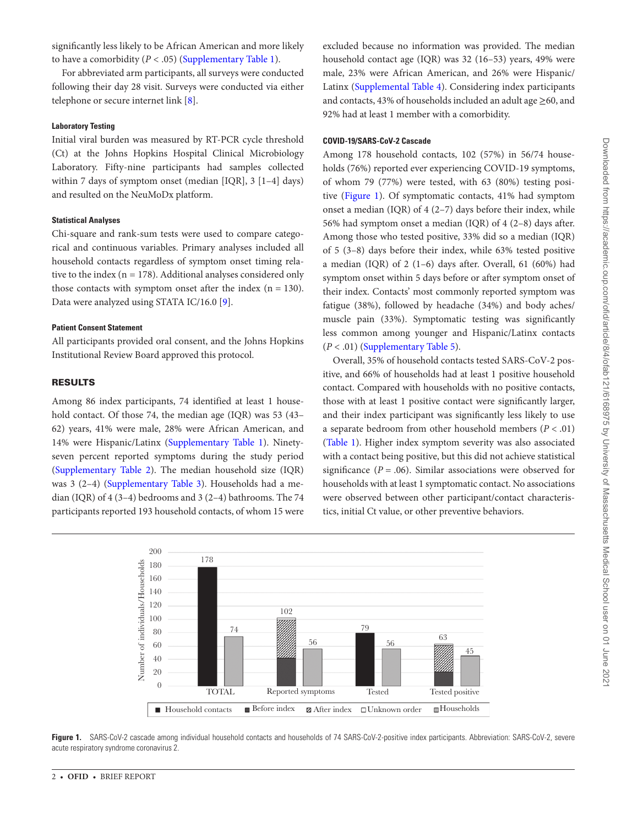significantly less likely to be African American and more likely to have a comorbidity  $(P < .05)$  [\(Supplementary Table 1\)](http://academic.oup.com/ofid/article-lookup/doi/10.1093/ofid/ofab121#supplementary-data).

For abbreviated arm participants, all surveys were conducted following their day 28 visit. Surveys were conducted via either telephone or secure internet link [[8](#page-4-7)].

## **Laboratory Testing**

Initial viral burden was measured by RT-PCR cycle threshold (Ct) at the Johns Hopkins Hospital Clinical Microbiology Laboratory. Fifty-nine participants had samples collected within 7 days of symptom onset (median [IQR], 3 [1–4] days) and resulted on the NeuMoDx platform.

#### **Statistical Analyses**

Chi-square and rank-sum tests were used to compare categorical and continuous variables. Primary analyses included all household contacts regardless of symptom onset timing relative to the index ( $n = 178$ ). Additional analyses considered only those contacts with symptom onset after the index  $(n = 130)$ . Data were analyzed using STATA IC/16.0 [[9](#page-4-8)].

## **Patient Consent Statement**

All participants provided oral consent, and the Johns Hopkins Institutional Review Board approved this protocol.

## RESULTS

Among 86 index participants, 74 identified at least 1 household contact. Of those 74, the median age (IQR) was 53 (43– 62) years, 41% were male, 28% were African American, and 14% were Hispanic/Latinx ([Supplementary Table 1](http://academic.oup.com/ofid/article-lookup/doi/10.1093/ofid/ofab121#supplementary-data)). Ninetyseven percent reported symptoms during the study period [\(Supplementary Table 2\)](http://academic.oup.com/ofid/article-lookup/doi/10.1093/ofid/ofab121#supplementary-data). The median household size (IQR) was 3 (2–4) ([Supplementary Table 3\)](http://academic.oup.com/ofid/article-lookup/doi/10.1093/ofid/ofab121#supplementary-data). Households had a median (IQR) of 4 (3–4) bedrooms and 3 (2–4) bathrooms. The 74 participants reported 193 household contacts, of whom 15 were

excluded because no information was provided. The median household contact age (IQR) was 32 (16–53) years, 49% were male, 23% were African American, and 26% were Hispanic/ Latinx [\(Supplemental Table 4](http://academic.oup.com/ofid/article-lookup/doi/10.1093/ofid/ofab121#supplementary-data)). Considering index participants and contacts, 43% of households included an adult age ≥60, and 92% had at least 1 member with a comorbidity.

## **COVID-19/SARS-CoV-2 Cascade**

Among 178 household contacts, 102 (57%) in 56/74 households (76%) reported ever experiencing COVID-19 symptoms, of whom 79 (77%) were tested, with 63 (80%) testing positive ([Figure 1](#page-1-0)). Of symptomatic contacts, 41% had symptom onset a median (IQR) of  $4(2-7)$  days before their index, while 56% had symptom onset a median (IQR) of 4 (2–8) days after. Among those who tested positive, 33% did so a median (IQR) of 5 (3–8) days before their index, while 63% tested positive a median (IQR) of 2 (1–6) days after. Overall, 61 (60%) had symptom onset within 5 days before or after symptom onset of their index. Contacts' most commonly reported symptom was fatigue (38%), followed by headache (34%) and body aches/ muscle pain (33%). Symptomatic testing was significantly less common among younger and Hispanic/Latinx contacts  $(P < .01)$  ([Supplementary Table 5](http://academic.oup.com/ofid/article-lookup/doi/10.1093/ofid/ofab121#supplementary-data)).

Overall, 35% of household contacts tested SARS-CoV-2 positive, and 66% of households had at least 1 positive household contact. Compared with households with no positive contacts, those with at least 1 positive contact were significantly larger, and their index participant was significantly less likely to use a separate bedroom from other household members (*P* < .01) [\(Table 1](#page-2-0)). Higher index symptom severity was also associated with a contact being positive, but this did not achieve statistical significance  $(P = .06)$ . Similar associations were observed for households with at least 1 symptomatic contact. No associations were observed between other participant/contact characteristics, initial Ct value, or other preventive behaviors.



<span id="page-1-0"></span>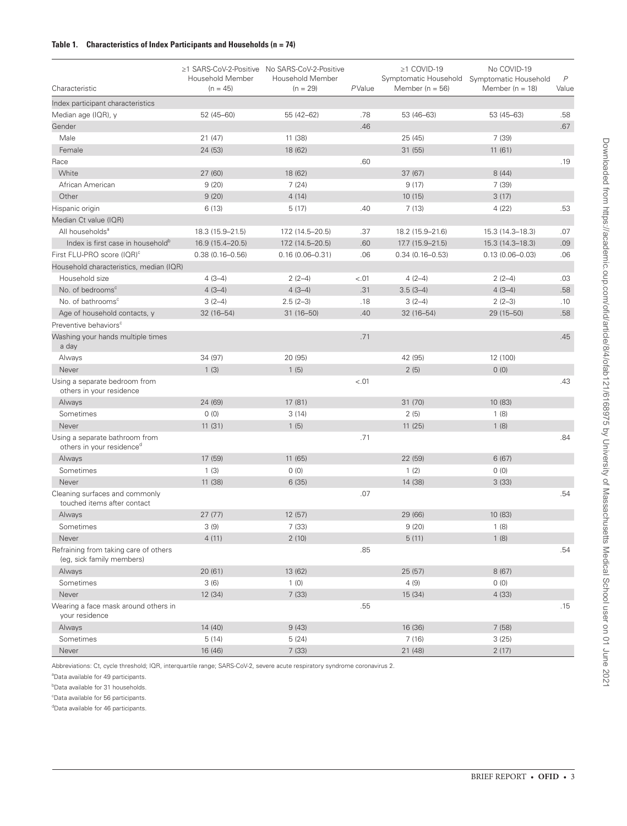# <span id="page-2-0"></span>**Table 1. Characteristics of Index Participants and Households (n = 74)**

| Characteristic                                                     | Household Member<br>$(n = 45)$ | ≥1 SARS-CoV-2-Positive No SARS-CoV-2-Positive<br>Household Member<br>$(n = 29)$ | PValue | $\geq$ 1 COVID-19<br>Member ( $n = 56$ ) | No COVID-19<br>Symptomatic Household Symptomatic Household<br>Member ( $n = 18$ ) | $\overline{P}$<br>Value |
|--------------------------------------------------------------------|--------------------------------|---------------------------------------------------------------------------------|--------|------------------------------------------|-----------------------------------------------------------------------------------|-------------------------|
| Index participant characteristics                                  |                                |                                                                                 |        |                                          |                                                                                   |                         |
| Median age (IQR), y                                                | $52(45 - 60)$                  | 55 (42-62)                                                                      | .78    | 53 (46-63)                               | 53 (45-63)                                                                        | .58                     |
| Gender                                                             |                                |                                                                                 | .46    |                                          |                                                                                   | .67                     |
| Male                                                               | 21(47)                         | 11 (38)                                                                         |        | 25 (45)                                  | 7 (39)                                                                            |                         |
| Female                                                             | 24 (53)                        | 18 (62)                                                                         |        | 31(55)                                   | 11(61)                                                                            |                         |
| Race                                                               |                                |                                                                                 | .60    |                                          |                                                                                   | .19                     |
| White                                                              | 27(60)                         | 18 (62)                                                                         |        | 37(67)                                   | 8(44)                                                                             |                         |
| African American                                                   | 9(20)                          | 7(24)                                                                           |        | 9(17)                                    | 7(39)                                                                             |                         |
| Other                                                              | 9(20)                          | 4(14)                                                                           |        | 10(15)                                   | 3(17)                                                                             |                         |
| Hispanic origin                                                    | 6(13)                          | 5(17)                                                                           | .40    | 7(13)                                    | 4(22)                                                                             | .53                     |
| Median Ct value (IQR)                                              |                                |                                                                                 |        |                                          |                                                                                   |                         |
| All households <sup>a</sup>                                        | 18.3 (15.9-21.5)               | 17.2 (14.5-20.5)                                                                | .37    | 18.2 (15.9-21.6)                         | 15.3 (14.3-18.3)                                                                  | .07                     |
| Index is first case in household <sup>b</sup>                      | 16.9 (15.4-20.5)               | 17.2 (14.5-20.5)                                                                | .60    | 17.7 (15.9-21.5)                         | 15.3 (14.3-18.3)                                                                  | .09                     |
| First FLU-PRO score (IQR) <sup>c</sup>                             | $0.38(0.16 - 0.56)$            | $0.16(0.06 - 0.31)$                                                             | .06    | $0.34(0.16 - 0.53)$                      | $0.13(0.06 - 0.03)$                                                               | .06                     |
| Household characteristics, median (IQR)                            |                                |                                                                                 |        |                                          |                                                                                   |                         |
| Household size                                                     | $4(3-4)$                       | $2(2-4)$                                                                        | $-.01$ | $4(2-4)$                                 | $2(2-4)$                                                                          | .03                     |
| No. of bedrooms <sup>c</sup>                                       | $4(3-4)$                       | $4(3-4)$                                                                        | .31    | $3.5(3-4)$                               | $4(3-4)$                                                                          | .58                     |
| No. of bathrooms <sup>c</sup>                                      | $3(2-4)$                       | $2.5(2-3)$                                                                      | .18    | $3(2-4)$                                 | $2(2-3)$                                                                          | .10                     |
| Age of household contacts, y                                       | $32(16 - 54)$                  | $31(16 - 50)$                                                                   | .40    | $32(16 - 54)$                            | 29 (15-50)                                                                        | .58                     |
| Preventive behaviors <sup>c</sup>                                  |                                |                                                                                 |        |                                          |                                                                                   |                         |
| Washing your hands multiple times<br>a day                         |                                |                                                                                 | .71    |                                          |                                                                                   | .45                     |
| Always                                                             | 34 (97)                        | 20 (95)                                                                         |        | 42 (95)                                  | 12 (100)                                                                          |                         |
| Never                                                              | 1(3)                           | 1(5)                                                                            |        | 2(5)                                     | 0(0)                                                                              |                         |
| Using a separate bedroom from<br>others in your residence          |                                |                                                                                 | $-.01$ |                                          |                                                                                   | .43                     |
| Always                                                             | 24 (69)                        | 17 (81)                                                                         |        | 31(70)                                   | 10 (83)                                                                           |                         |
| Sometimes                                                          | 0(0)                           | 3(14)                                                                           |        | 2(5)                                     | 1(8)                                                                              |                         |
| Never                                                              | 11(31)                         | 1(5)                                                                            |        | 11(25)                                   | 1(8)                                                                              |                         |
| Using a separate bathroom from<br>others in your residenced        |                                |                                                                                 | .71    |                                          |                                                                                   | .84                     |
| Always                                                             | 17 (59)                        | 11 (65)                                                                         |        | 22 (59)                                  | 6(67)                                                                             |                         |
| Sometimes                                                          | 1(3)                           | 0(0)                                                                            |        | 1(2)                                     | 0(0)                                                                              |                         |
| Never                                                              | 11 (38)                        | 6(35)                                                                           |        | 14 (38)                                  | 3(33)                                                                             |                         |
| Cleaning surfaces and commonly<br>touched items after contact      |                                |                                                                                 | .07    |                                          |                                                                                   | .54                     |
| Always                                                             | 27(77)                         | 12(57)                                                                          |        | 29 (66)                                  | 10 (83)                                                                           |                         |
| Sometimes                                                          | 3(9)                           | 7(33)                                                                           |        | 9(20)                                    | 1(8)                                                                              |                         |
| Never                                                              | 4(11)                          | 2(10)                                                                           |        | 5(11)                                    | 1(8)                                                                              |                         |
| Refraining from taking care of others<br>(eq. sick family members) |                                |                                                                                 | .85    |                                          |                                                                                   | .54                     |
| Always                                                             | 20(61)                         | 13 (62)                                                                         |        | 25(57)                                   | 8 (67)                                                                            |                         |
| Sometimes                                                          | 3(6)                           | 1(0)                                                                            |        | 4(9)                                     | (0)                                                                               |                         |
| Never                                                              | 12 (34)                        | 7(33)                                                                           |        | 15 (34)                                  | 4(33)                                                                             |                         |
| Wearing a face mask around others in<br>your residence             |                                |                                                                                 | .55    |                                          |                                                                                   | .15                     |
| Always                                                             | 14(40)                         | 9(43)                                                                           |        | 16 (36)                                  | 7(58)                                                                             |                         |
| Sometimes                                                          | 5(14)                          | 5(24)                                                                           |        | 7(16)                                    | 3(25)                                                                             |                         |
| Never                                                              | 16 (46)                        | 7(33)                                                                           |        | 21 (48)                                  | 2(17)                                                                             |                         |

Abbreviations: Ct, cycle threshold; IQR, interquartile range; SARS-CoV-2, severe acute respiratory syndrome coronavirus 2.

a Data available for 49 participants.

**b**Data available for 31 households.

c Data available for 56 participants.

<sup>d</sup>Data available for 46 participants.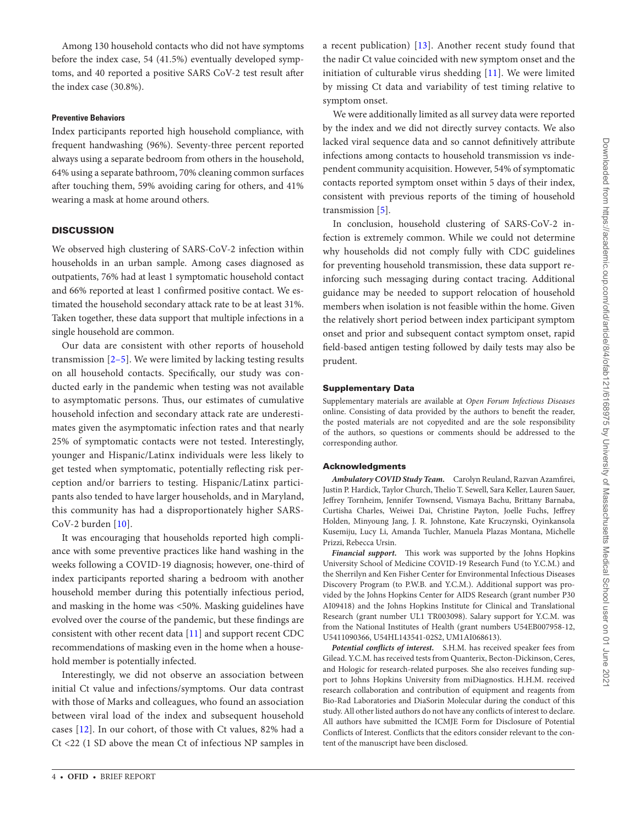Among 130 household contacts who did not have symptoms before the index case, 54 (41.5%) eventually developed symptoms, and 40 reported a positive SARS CoV-2 test result after the index case (30.8%).

#### **Preventive Behaviors**

Index participants reported high household compliance, with frequent handwashing (96%). Seventy-three percent reported always using a separate bedroom from others in the household, 64% using a separate bathroom, 70% cleaning common surfaces after touching them, 59% avoiding caring for others, and 41% wearing a mask at home around others.

### **DISCUSSION**

We observed high clustering of SARS-CoV-2 infection within households in an urban sample. Among cases diagnosed as outpatients, 76% had at least 1 symptomatic household contact and 66% reported at least 1 confirmed positive contact. We estimated the household secondary attack rate to be at least 31%. Taken together, these data support that multiple infections in a single household are common.

Our data are consistent with other reports of household transmission [[2](#page-4-1)[–5](#page-4-4)]. We were limited by lacking testing results on all household contacts. Specifically, our study was conducted early in the pandemic when testing was not available to asymptomatic persons. Thus, our estimates of cumulative household infection and secondary attack rate are underestimates given the asymptomatic infection rates and that nearly 25% of symptomatic contacts were not tested. Interestingly, younger and Hispanic/Latinx individuals were less likely to get tested when symptomatic, potentially reflecting risk perception and/or barriers to testing. Hispanic/Latinx participants also tended to have larger households, and in Maryland, this community has had a disproportionately higher SARS-CoV-2 burden [[10](#page-4-9)].

It was encouraging that households reported high compliance with some preventive practices like hand washing in the weeks following a COVID-19 diagnosis; however, one-third of index participants reported sharing a bedroom with another household member during this potentially infectious period, and masking in the home was <50%. Masking guidelines have evolved over the course of the pandemic, but these findings are consistent with other recent data [\[11](#page-4-10)] and support recent CDC recommendations of masking even in the home when a household member is potentially infected.

Interestingly, we did not observe an association between initial Ct value and infections/symptoms. Our data contrast with those of Marks and colleagues, who found an association between viral load of the index and subsequent household cases [[12](#page-4-11)]. In our cohort, of those with Ct values, 82% had a Ct <22 (1 SD above the mean Ct of infectious NP samples in

a recent publication) [[13](#page-4-12)]. Another recent study found that the nadir Ct value coincided with new symptom onset and the initiation of culturable virus shedding [\[11\]](#page-4-10). We were limited by missing Ct data and variability of test timing relative to symptom onset.

We were additionally limited as all survey data were reported by the index and we did not directly survey contacts. We also lacked viral sequence data and so cannot definitively attribute infections among contacts to household transmission vs independent community acquisition. However, 54% of symptomatic contacts reported symptom onset within 5 days of their index, consistent with previous reports of the timing of household transmission [\[5\]](#page-4-4).

In conclusion, household clustering of SARS-CoV-2 infection is extremely common. While we could not determine why households did not comply fully with CDC guidelines for preventing household transmission, these data support reinforcing such messaging during contact tracing. Additional guidance may be needed to support relocation of household members when isolation is not feasible within the home. Given the relatively short period between index participant symptom onset and prior and subsequent contact symptom onset, rapid field-based antigen testing followed by daily tests may also be prudent.

#### Supplementary Data

Supplementary materials are available at *Open Forum Infectious Diseases* online. Consisting of data provided by the authors to benefit the reader, the posted materials are not copyedited and are the sole responsibility of the authors, so questions or comments should be addressed to the corresponding author.

#### Acknowledgments

*Ambulatory COVID Study Team.* Carolyn Reuland, Razvan Azamfirei, Justin P. Hardick, Taylor Church, Thelio T. Sewell, Sara Keller, Lauren Sauer, Jeffrey Tornheim, Jennifer Townsend, Vismaya Bachu, Brittany Barnaba, Curtisha Charles, Weiwei Dai, Christine Payton, Joelle Fuchs, Jeffrey Holden, Minyoung Jang, J. R. Johnstone, Kate Kruczynski, Oyinkansola Kusemiju, Lucy Li, Amanda Tuchler, Manuela Plazas Montana, Michelle Prizzi, Rebecca Ursin.

*Financial support***.** This work was supported by the Johns Hopkins University School of Medicine COVID-19 Research Fund (to Y.C.M.) and the Sherrilyn and Ken Fisher Center for Environmental Infectious Diseases Discovery Program (to P.W.B. and Y.C.M.). Additional support was provided by the Johns Hopkins Center for AIDS Research (grant number P30 AI09418) and the Johns Hopkins Institute for Clinical and Translational Research (grant number UL1 TR003098). Salary support for Y.C.M. was from the National Institutes of Health (grant numbers U54EB007958-12, U5411090366, U54HL143541-02S2, UM1AI068613).

*Potential conflicts of interest.* S.H.M. has received speaker fees from Gilead. Y.C.M. has received tests from Quanterix, Becton-Dickinson, Ceres, and Hologic for research-related purposes. She also receives funding support to Johns Hopkins University from miDiagnostics. H.H.M. received research collaboration and contribution of equipment and reagents from Bio-Rad Laboratories and DiaSorin Molecular during the conduct of this study. All other listed authors do not have any conflicts of interest to declare. All authors have submitted the ICMJE Form for Disclosure of Potential Conflicts of Interest. Conflicts that the editors consider relevant to the content of the manuscript have been disclosed.